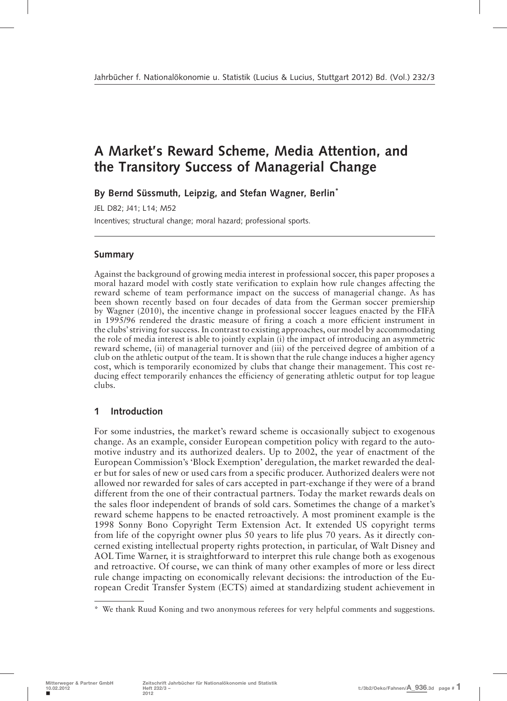# A Market's Reward Scheme, Media Attention, and the Transitory Success of Managerial Change

By Bernd Süssmuth, Leipzig, and Stefan Wagner, Berlin<sup>\*</sup>

JEL D82; J41; L14; M52

Incentives; structural change; moral hazard; professional sports.

### Summary

Against the background of growing media interest in professional soccer, this paper proposes a moral hazard model with costly state verification to explain how rule changes affecting the reward scheme of team performance impact on the success of managerial change. As has been shown recently based on four decades of data from the German soccer premiership by Wagner (2010), the incentive change in professional soccer leagues enacted by the FIFA in 1995/96 rendered the drastic measure of firing a coach a more efficient instrument in the clubs' striving for success. In contrast to existing approaches, our model by accommodating the role of media interest is able to jointly explain (i) the impact of introducing an asymmetric reward scheme, (ii) of managerial turnover and (iii) of the perceived degree of ambition of a club on the athletic output of the team. It is shown that the rule change induces a higher agency cost, which is temporarily economized by clubs that change their management. This cost reducing effect temporarily enhances the efficiency of generating athletic output for top league clubs.

## 1 Introduction

For some industries, the market's reward scheme is occasionally subject to exogenous change. As an example, consider European competition policy with regard to the automotive industry and its authorized dealers. Up to 2002, the year of enactment of the European Commission's 'Block Exemption' deregulation, the market rewarded the dealer but for sales of new or used cars from a specific producer. Authorized dealers were not allowed nor rewarded for sales of cars accepted in part-exchange if they were of a brand different from the one of their contractual partners. Today the market rewards deals on the sales floor independent of brands of sold cars. Sometimes the change of a market's reward scheme happens to be enacted retroactively. A most prominent example is the 1998 Sonny Bono Copyright Term Extension Act. It extended US copyright terms from life of the copyright owner plus 50 years to life plus 70 years. As it directly concerned existing intellectual property rights protection, in particular, of Walt Disney and AOL Time Warner, it is straightforward to interpret this rule change both as exogenous and retroactive. Of course, we can think of many other examples of more or less direct rule change impacting on economically relevant decisions: the introduction of the European Credit Transfer System (ECTS) aimed at standardizing student achievement in

<sup>\*</sup> We thank Ruud Koning and two anonymous referees for very helpful comments and suggestions.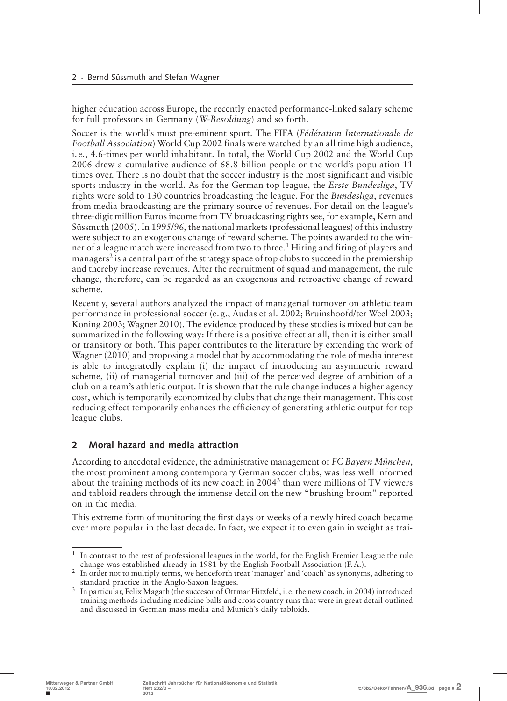higher education across Europe, the recently enacted performance-linked salary scheme for full professors in Germany (W-Besoldung) and so forth.

Soccer is the world's most pre-eminent sport. The FIFA (Fédération Internationale de Football Association) World Cup 2002 finals were watched by an all time high audience, i. e., 4.6-times per world inhabitant. In total, the World Cup 2002 and the World Cup 2006 drew a cumulative audience of 68.8 billion people or the world's population 11 times over. There is no doubt that the soccer industry is the most significant and visible sports industry in the world. As for the German top league, the Erste Bundesliga, TV rights were sold to 130 countries broadcasting the league. For the Bundesliga, revenues from media braodcasting are the primary source of revenues. For detail on the league's three-digit million Euros income from TV broadcasting rights see, for example, Kern and Süssmuth (2005). In 1995/96, the national markets (professional leagues) of this industry were subject to an exogenous change of reward scheme. The points awarded to the winner of a league match were increased from two to three.<sup>1</sup> Hiring and firing of players and managers<sup>2</sup> is a central part of the strategy space of top clubs to succeed in the premiership and thereby increase revenues. After the recruitment of squad and management, the rule change, therefore, can be regarded as an exogenous and retroactive change of reward scheme.

Recently, several authors analyzed the impact of managerial turnover on athletic team performance in professional soccer (e. g., Audas et al. 2002; Bruinshoofd/ter Weel 2003; Koning 2003; Wagner 2010). The evidence produced by these studies is mixed but can be summarized in the following way: If there is a positive effect at all, then it is either small or transitory or both. This paper contributes to the literature by extending the work of Wagner (2010) and proposing a model that by accommodating the role of media interest is able to integratedly explain (i) the impact of introducing an asymmetric reward scheme, (ii) of managerial turnover and (iii) of the perceived degree of ambition of a club on a team's athletic output. It is shown that the rule change induces a higher agency cost, which is temporarily economized by clubs that change their management. This cost reducing effect temporarily enhances the efficiency of generating athletic output for top league clubs.

## 2 Moral hazard and media attraction

According to anecdotal evidence, the administrative management of  $FC$  Bayern München, the most prominent among contemporary German soccer clubs, was less well informed about the training methods of its new coach in 2004<sup>3</sup> than were millions of TV viewers and tabloid readers through the immense detail on the new "brushing broom" reported on in the media.

This extreme form of monitoring the first days or weeks of a newly hired coach became ever more popular in the last decade. In fact, we expect it to even gain in weight as trai-

<sup>1</sup> In contrast to the rest of professional leagues in the world, for the English Premier League the rule change was established already in 1981 by the English Football Association (F. A.).

<sup>&</sup>lt;sup>2</sup> In order not to multiply terms, we henceforth treat 'manager' and 'coach' as synonyms, adhering to standard practice in the Anglo-Saxon leagues.

<sup>3</sup> In particular, Felix Magath (the succesor of Ottmar Hitzfeld, i. e. the new coach, in 2004) introduced training methods including medicine balls and cross country runs that were in great detail outlined and discussed in German mass media and Munich's daily tabloids.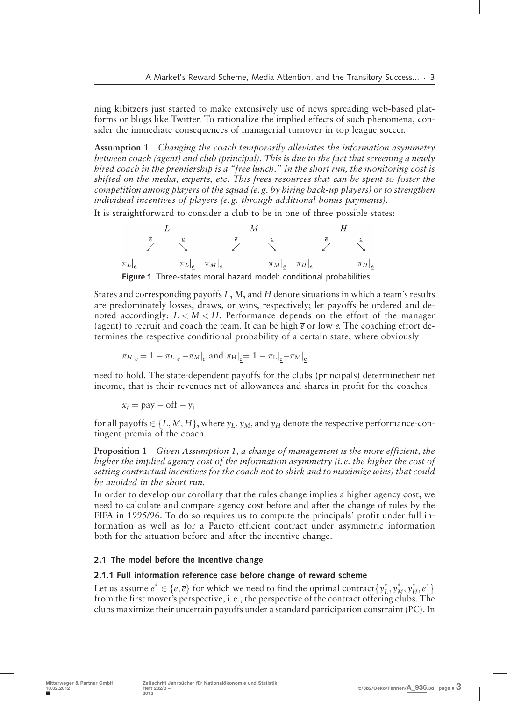ning kibitzers just started to make extensively use of news spreading web-based platforms or blogs like Twitter. To rationalize the implied effects of such phenomena, consider the immediate consequences of managerial turnover in top league soccer.

Assumption 1 Changing the coach temporarily alleviates the information asymmetry between coach (agent) and club (principal). This is due to the fact that screening a newly hired coach in the premiership is a "free lunch." In the short run, the monitoring cost is shifted on the media, experts, etc. This frees resources that can be spent to foster the competition among players of the squad (e. g. by hiring back-up players) or to strengthen individual incentives of players (e. g. through additional bonus payments).

It is straightforward to consider a club to be in one of three possible states:

| $\pi_L _{\overline{e}}$ | $\pi_L _e$ $\pi_M _{\overline{e}}$ |                                                                     | $\pi_M _e$ $\pi_H _{\overline{e}}$ | $\pi_H _e$ |
|-------------------------|------------------------------------|---------------------------------------------------------------------|------------------------------------|------------|
|                         |                                    | Figure 1 Three-states moral hazard model: conditional probabilities |                                    |            |

States and corresponding payoffs L, M, and H denote situations in which a team's results are predominately losses, draws, or wins, respectively; let payoffs be ordered and denoted accordingly:  $L < M < H$ . Performance depends on the effort of the manager (agent) to recruit and coach the team. It can be high  $\bar{e}$  or low  $\bar{e}$ . The coaching effort determines the respective conditional probability of a certain state, where obviously

$$
\pi_H|_{\vec{e}} = 1 - \pi_L|_{\vec{e}} - \pi_M|_{\vec{e}}
$$
 and 
$$
\pi_H|_{\vec{e}} = 1 - \pi_L|_{\vec{e}} - \pi_M|_{\vec{e}}
$$

need to hold. The state-dependent payoffs for the clubs (principals) determinetheir net income, that is their revenues net of allowances and shares in profit for the coaches

$$
x_j = pay - off - y_j
$$

for all payoffs  $\in \{L, M, H\}$ , where  $y_L, y_M$ , and  $y_H$  denote the respective performance-contingent premia of the coach.

Proposition 1 Given Assumption 1, a change of management is the more efficient, the higher the implied agency cost of the information asymmetry (i. e. the higher the cost of setting contractual incentives for the coach not to shirk and to maximize wins) that could be avoided in the short run.

In order to develop our corollary that the rules change implies a higher agency cost, we need to calculate and compare agency cost before and after the change of rules by the FIFA in 1995/96. To do so requires us to compute the principals' profit under full information as well as for a Pareto efficient contract under asymmetric information both for the situation before and after the incentive change.

#### 2.1 The model before the incentive change

#### 2.1.1 Full information reference case before change of reward scheme

Let us assume  $e^* \in \{e, \overline{e}\}$  for which we need to find the optimal contract  $\{y_L^*, y_M^*, y_H^*, e^*\}$ from the first mover's perspective, i. e., the perspective of the contract offering clubs. The clubs maximize their uncertain payoffs under a standard participation constraint (PC). In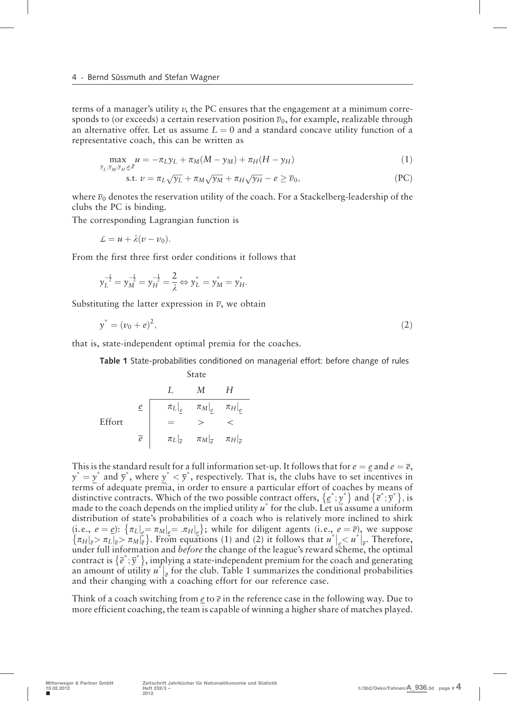terms of a manager's utility  $\nu$ , the PC ensures that the engagement at a minimum corresponds to (or exceeds) a certain reservation position  $\overline{v}_0$ , for example, realizable through an alternative offer. Let us assume  $L = 0$  and a standard concave utility function of a representative coach, this can be written as

$$
\max_{y_L, y_M, y_H, e, \bar{e}} u = -\pi_L y_L + \pi_M (M - y_M) + \pi_H (H - y_H)
$$
\n(1)

$$
\text{s.t. } v = \pi_L \sqrt{y_L} + \pi_M \sqrt{y_M} + \pi_H \sqrt{y_H} - e \ge \overline{v}_0,
$$
\n
$$
\text{(PC)}
$$

where  $\overline{v}_0$  denotes the reservation utility of the coach. For a Stackelberg-leadership of the clubs the PC is binding.

The corresponding Lagrangian function is

$$
\mathcal{L}=u+\lambda(v-v_0).
$$

From the first three first order conditions it follows that

$$
y_L^{-\frac{1}{2}} = y_M^{-\frac{1}{2}} = y_H^{-\frac{1}{2}} = \frac{2}{\lambda} \Leftrightarrow y_L^* = y_M^* = y_H^*.
$$

Substituting the latter expression in  $\overline{v}$ , we obtain

$$
y^* = (v_0 + e)^2,\tag{2}
$$

that is, state-independent optimal premia for the coaches.

Table 1 State-probabilities conditioned on managerial effort: before change of rules

State L MH  $\frac{e}{\epsilon}$   $\pi_L|_{e}$   $\pi_M|_{e}$   $\pi_H|_{e}$ Effort  $\vert$  = > <  $\overline{e}$   $\pi_L|_{\overline{e}}$   $\pi_M|_{\overline{e}}$   $\pi_H|_{\overline{e}}$ 

This is the standard result for a full information set-up. It follows that for  $e = \frac{e}{g}$  and  $e = \overline{e}$ ,  $y^* = y^*$  and  $\overline{y}^*$ , where  $y^* < \overline{y}^*$ , respectively. That is, the clubs have to set incentives in terms of adequate premia, in order to ensure a particular effort of coaches by means of distinctive contracts. Which of the two possible contract offers,  $\{e^*; y^*\}$  and  $\{\overline{e}^*; \overline{y}^*\}$ , is made to the coach depends on the implied utility  $u^*$  for the club. Let us assume a uniform distribution of state's probabilities of a coach who is relatively more inclined to shirk (i.e.,  $e = e$ ):  $\{\pi_L|_e = \pi_M|_e = .\pi_H|_e\}$ ; while for diligent agents (i.e.,  $e = \overline{e}$ ), we suppose  $\{\pi_H |_{\vec{e}} > \pi_L |_{\vec{e}} > \pi_M |_{\vec{e}}\}.$  From equations (1) and (2) it follows that  $u^*|_{e} < u^*|_{\vec{e}}.$  Therefore, under full information and *before* the change of the league's reward scheme, the optimal contract is  $\{\vec{e}^*, \vec{y}^*\}$ , implying a state-independent premium for the coach and generating<br>contract is  $\{\vec{e}^*, \vec{y}^*\}$ , implying a state-independent premium for the coach and generating an amount of utility  $u^*|_{\bar{e}}$  for the club. Table 1 summarizes the conditional probabilities and their changing with a coaching effort for our reference case.

Think of a coach switching from  $\underline{e}$  to  $\overline{e}$  in the reference case in the following way. Due to more efficient coaching, the team is capable of winning a higher share of matches played.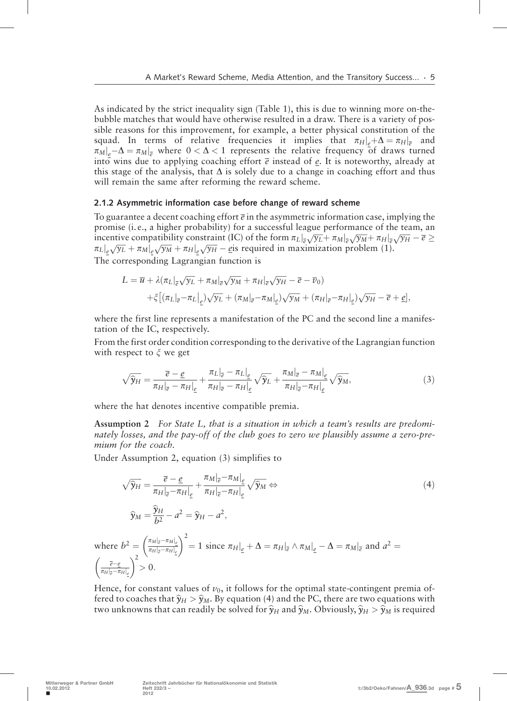As indicated by the strict inequality sign (Table 1), this is due to winning more on-thebubble matches that would have otherwise resulted in a draw. There is a variety of possible reasons for this improvement, for example, a better physical constitution of the squad. In terms of relative frequencies it implies that  $\pi_H|_e + \Delta = \pi_H|_{\overline{e}}$  and  $\pi_M|_{\underline{e}} - \Delta = \pi_M|_{\overline{e}}$  where  $0 < \Delta < 1$  represents the relative frequency of draws turned into wins due to applying coaching effort  $\bar{e}$  instead of  $\epsilon$ . It is noteworthy, already at this stage of the analysis, that  $\Delta$  is solely due to a change in coaching effort and thus will remain the same after reforming the reward scheme.

#### 2.1.2 Asymmetric information case before change of reward scheme

To guarantee a decent coaching effort  $\bar{e}$  in the asymmetric information case, implying the promise (i. e., a higher probability) for a successful league performance of the team, an incentive compatibility constraint (IC) of the form  $\pi_L|_{\bar{e}}\sqrt{y_L} + \pi_M|_{\bar{e}}\sqrt{y_M} + \pi_H|_{\bar{e}}\sqrt{y_H} - \bar{e} \ge$  $\pi_L|_{\mathcal{E}}\sqrt{y_L} + \pi_M|_{\mathcal{E}}\sqrt{y_M} + \pi_H|_{\mathcal{E}}\sqrt{y_H} - \mathcal{E}$  is required in maximization problem (1). The corresponding Lagrangian function is

$$
L = \overline{u} + \lambda (\pi_L|_{\overline{e}} \sqrt{y_L} + \pi_M|_{\overline{e}} \sqrt{y_M} + \pi_H|_{\overline{e}} \sqrt{y_H} - \overline{e} - \overline{v}_0)
$$
  
+ $\xi [(\pi_L|_{\overline{e}} - \pi_L|_{\underline{e}}) \sqrt{y_L} + (\pi_M|_{\overline{e}} - \pi_M|_{\underline{e}}) \sqrt{y_M} + (\pi_H|_{\overline{e}} - \pi_H|_{\underline{e}}) \sqrt{y_H} - \overline{e} + \underline{e}],$ 

where the first line represents a manifestation of the PC and the second line a manifestation of the IC, respectively.

From the first order condition corresponding to the derivative of the Lagrangian function with respect to  $\xi$  we get

$$
\sqrt{\hat{y}_H} = \frac{\overline{e} - \underline{e}}{\pi_H|_{\overline{e}} - \pi_H|_{\underline{e}}} + \frac{\pi_L|_{\overline{e}} - \pi_L|_{\underline{e}}}{\pi_H|_{\overline{e}} - \pi_H|_{\underline{e}}} \sqrt{\hat{y}_L} + \frac{\pi_M|_{\overline{e}} - \pi_M|_{\underline{e}}}{\pi_H|_{\overline{e}} - \pi_H|_{\underline{e}}} \sqrt{\hat{y}_M},\tag{3}
$$

where the hat denotes incentive compatible premia.

Assumption 2 For State L, that is a situation in which a team's results are predominately losses, and the pay-off of the club goes to zero we plausibly assume a zero-premium for the coach.

Under Assumption 2, equation (3) simplifies to

$$
\sqrt{\hat{y}_H} = \frac{\overline{e} - \underline{e}}{\pi_H |_{\overline{e}} - \pi_H |_{\underline{e}}} + \frac{\pi_M |_{\overline{e}} - \pi_M |_{\underline{e}}}{\pi_H |_{\overline{e}} - \pi_H |_{\underline{e}}} \sqrt{\hat{y}_M} \Leftrightarrow
$$
\n
$$
\hat{y}_M = \frac{\hat{y}_H}{b^2} - a^2 = \hat{y}_H - a^2,
$$
\n
$$
a^2 = \left(\frac{\pi_M |_{\overline{e}} - \pi_M |_{\overline{e}}}{\pi_M |_{\overline{e}}}\right)^2
$$
\n
$$
a^2 = \left(\frac{\pi_M |_{\overline{e}} - \pi_M |_{\overline{e}}}{\pi_M |_{\overline{e}}}\right)^2
$$
\n
$$
a^2 = \left(\frac{\pi_M |_{\overline{e}} - \pi_M |_{\overline{e}}}{\pi_M |_{\overline{e}}}\right)^2
$$
\n
$$
a^2 = \frac{\pi_M |_{\overline{e}} - \pi_M |_{\overline{e}}}{\pi_M |_{\overline{e}}}
$$
\n
$$
(4)
$$

where  $b^2 = \left(\frac{\pi_M|_{\bar{e}} - \pi_M|_e}{\pi_H|_{\bar{e}} - \pi_H|_e}\right)$ = 1 since  $\pi_H|_{\underline{e}} + \Delta = \pi_H|_{\overline{e}} \wedge \pi_M|_{\underline{e}} - \Delta = \pi_M|_{\overline{e}}$  and  $a^2 =$  $\frac{\overline{e}-\underline{e}}{\pi_H|_{\overline{e}}-\pi_H|_{e}}$  $\sqrt{2}$  $> 0.$ 

Hence, for constant values of  $v_0$ , it follows for the optimal state-contingent premia offered to coaches that  $\hat{y}_H > \hat{y}_M$ . By equation (4) and the PC, there are two equations with two unknowns that can readily be solved for  $\hat{y}_H$  and  $\hat{y}_M$ . Obviously,  $\hat{y}_H > \hat{y}_M$  is required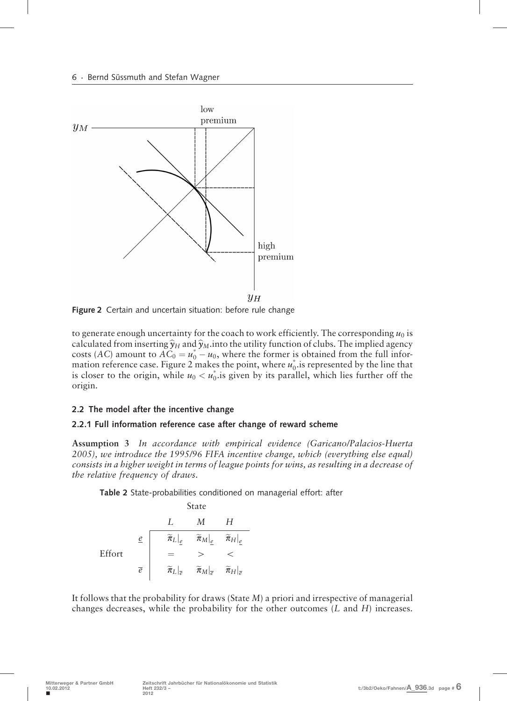

Figure 2 Certain and uncertain situation: before rule change

to generate enough uncertainty for the coach to work efficiently. The corresponding  $u_0$  is calculated from inserting  $\hat{y}_H$  and  $\hat{y}_M$ .into the utility function of clubs. The implied agency costs (AC) amount to  $AC_0 = u_0^* - u_0$ , where the former is obtained from the full information reference case. Figure 2 makes the point, where  $u_0^*$  is represented by the line that is closer to the origin, while  $u_0 < u_0^*$  is given by its parallel, which lies further off the origin.

### 2.2 The model after the incentive change

### 2.2.1 Full information reference case after change of reward scheme

Assumption 3 In accordance with empirical evidence (Garicano/Palacios-Huerta 2005), we introduce the 1995/96 FIFA incentive change, which (everything else equal) consists in a higher weight in terms of league points for wins, as resulting in a decrease of the relative frequency of draws.

Table 2 State-probabilities conditioned on managerial effort: after

| State          |                                     |                                     |                                     |
|----------------|-------------------------------------|-------------------------------------|-------------------------------------|
| $L$            | $M$                                 | $H$                                 |                                     |
| $e$            | $\widetilde{\pi}_L _e$              | $\widetilde{\pi}_M _e$              | $\widetilde{\pi}_H _e$              |
| $E$            | $=$                                 | $<$                                 |                                     |
| $\overline{e}$ | $\widetilde{\pi}_L _{\overline{e}}$ | $\widetilde{\pi}_M _{\overline{e}}$ | $\widetilde{\pi}_H _{\overline{e}}$ |

It follows that the probability for draws (State M) a priori and irrespective of managerial changes decreases, while the probability for the other outcomes  $(L \text{ and } H)$  increases.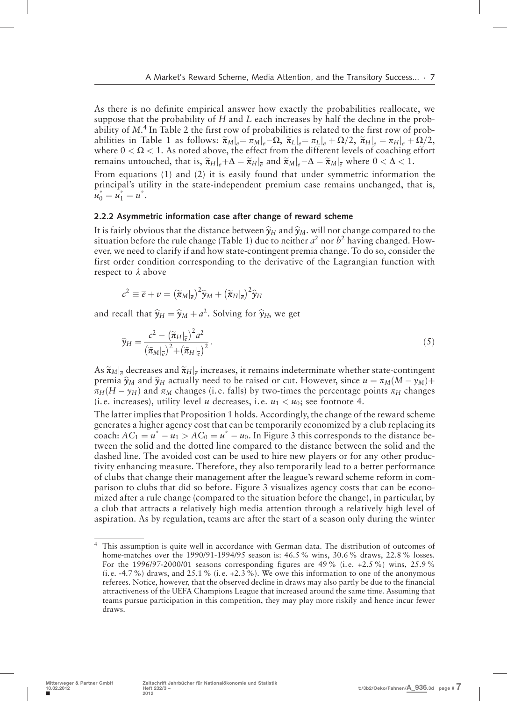As there is no definite empirical answer how exactly the probabilities reallocate, we suppose that the probability of  $H$  and  $L$  each increases by half the decline in the probability of M. <sup>4</sup> In Table 2 the first row of probabilities is related to the first row of probabilities in Table 1 as follows:  $\widetilde{\pi}_M|_e = \pi_M|_e - \Omega$ ,  $\widetilde{\pi}_L|_e = \pi_L|_e + \Omega/2$ ,  $\widetilde{\pi}_H|_e = \pi_H|_e + \Omega/2$ , where  $0 < \Omega < 1$ . As noted above, the effect from the different levels of coaching effort remains untouched, that is,  $\widetilde{\pi}_H|_{\underline{e}} + \Delta = \widetilde{\pi}_H|_{\overline{e}}$  and  $\widetilde{\pi}_M|_{\underline{e}} - \Delta = \widetilde{\pi}_M|_{\overline{e}}$  where  $0 < \Delta < 1$ .

From equations (1) and (2) it is easily found that under symmetric information the principal's utility in the state-independent premium case remains unchanged, that is,  $u_0^* = u_1^* = u^*.$ 

#### 2.2.2 Asymmetric information case after change of reward scheme

It is fairly obvious that the distance between  $\hat{y}_H$  and  $\hat{y}_M$ , will not change compared to the situation before the rule change (Table 1) due to neither  $a^2$  nor  $b^2$  having changed. However, we need to clarify if and how state-contingent premia change. To do so, consider the first order condition corresponding to the derivative of the Lagrangian function with respect to  $\lambda$  above

$$
c^2 \equiv \overline{e} + \nu = \left(\widetilde{\pi}_M|_{\overline{e}}\right)^2 \widehat{\mathbf{y}}_M + \left(\widetilde{\pi}_H|_{\overline{e}}\right)^2 \widehat{\mathbf{y}}_H
$$

and recall that  $\hat{\mathbf{y}}_H = \hat{\mathbf{y}}_M + a^2$ . Solving for  $\hat{\mathbf{y}}_H$ , we get

$$
\widehat{y}_H = \frac{c^2 - \left(\widetilde{\pi}_H|_{\overline{e}}\right)^2 a^2}{\left(\widetilde{\pi}_M|_{\overline{e}}\right)^2 + \left(\widetilde{\pi}_H|_{\overline{e}}\right)^2}.
$$
\n(5)

As  $\widetilde{\pi}_M |_{\overline{e}}$  decreases and  $\widetilde{\pi}_H |_{\overline{e}}$  increases, it remains indeterminate whether state-contingent premia  $\widehat{y}_M$  and  $\widehat{y}_H$  actually need to be raised or cut. However, since  $u = \pi_M(M - y_M) +$  $\pi_H (H - y_H)$  and  $\pi_M$  changes (i. e. falls) by two-times the percentage points  $\pi_H$  changes (i. e. increases), utility level u decreases, i.e.  $u_1 < u_0$ ; see footnote 4.

The latter implies that Proposition 1 holds. Accordingly, the change of the reward scheme generates a higher agency cost that can be temporarily economized by a club replacing its coach:  $AC_1 = u^* - u_1 > AC_0 = u^* - u_0$ . In Figure 3 this corresponds to the distance between the solid and the dotted line compared to the distance between the solid and the dashed line. The avoided cost can be used to hire new players or for any other productivity enhancing measure. Therefore, they also temporarily lead to a better performance of clubs that change their management after the league's reward scheme reform in comparison to clubs that did so before. Figure 3 visualizes agency costs that can be economized after a rule change (compared to the situation before the change), in particular, by a club that attracts a relatively high media attention through a relatively high level of aspiration. As by regulation, teams are after the start of a season only during the winter

This assumption is quite well in accordance with German data. The distribution of outcomes of home-matches over the 1990/91-1994/95 season is: 46.5 % wins, 30.6 % draws, 22.8 % losses. For the 1996/97-2000/01 seasons corresponding figures are 49 % (i.e. +2.5 %) wins, 25.9 % (i. e. -4.7 %) draws, and 25.1 % (i. e. +2.3 %). We owe this information to one of the anonymous referees. Notice, however, that the observed decline in draws may also partly be due to the financial attractiveness of the UEFA Champions League that increased around the same time. Assuming that teams pursue participation in this competition, they may play more riskily and hence incur fewer draws.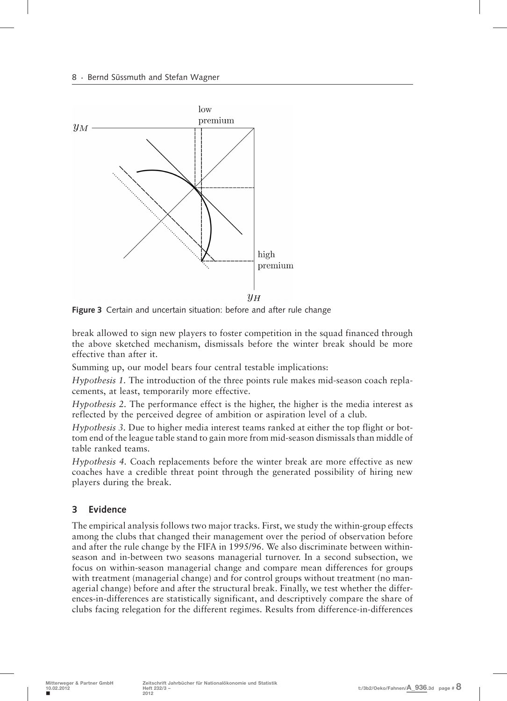

Figure 3 Certain and uncertain situation: before and after rule change

break allowed to sign new players to foster competition in the squad financed through the above sketched mechanism, dismissals before the winter break should be more effective than after it.

Summing up, our model bears four central testable implications:

Hypothesis 1. The introduction of the three points rule makes mid-season coach replacements, at least, temporarily more effective.

Hypothesis 2. The performance effect is the higher, the higher is the media interest as reflected by the perceived degree of ambition or aspiration level of a club.

Hypothesis 3. Due to higher media interest teams ranked at either the top flight or bottom end of the league table stand to gain more from mid-season dismissals than middle of table ranked teams.

Hypothesis 4. Coach replacements before the winter break are more effective as new coaches have a credible threat point through the generated possibility of hiring new players during the break.

## 3 Evidence

The empirical analysis follows two major tracks. First, we study the within-group effects among the clubs that changed their management over the period of observation before and after the rule change by the FIFA in 1995/96. We also discriminate between withinseason and in-between two seasons managerial turnover. In a second subsection, we focus on within-season managerial change and compare mean differences for groups with treatment (managerial change) and for control groups without treatment (no managerial change) before and after the structural break. Finally, we test whether the differences-in-differences are statistically significant, and descriptively compare the share of clubs facing relegation for the different regimes. Results from difference-in-differences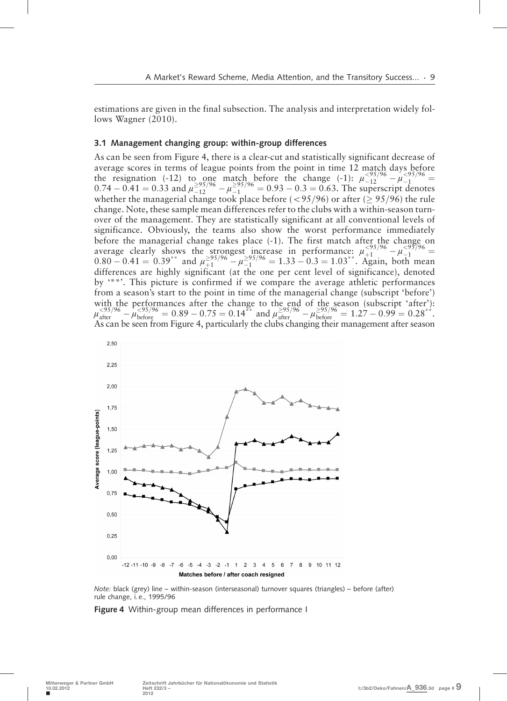estimations are given in the final subsection. The analysis and interpretation widely follows Wagner (2010).

#### 3.1 Management changing group: within-group differences

As can be seen from Figure 4, there is a clear-cut and statistically significant decrease of average scores in terms of league points from the point in time 12 match days before the resignation (-12) to one match before the change (-1):  $\mu_{-12}^{<95/96} - \mu_{-1}^{<95/96} =$  $0.74 - 0.41 = 0.33$  and  $\mu_{-12}^{\geq 95/96} - \mu_{-1}^{\geq 95/96} = 0.93 - 0.3 = 0.63$ . The superscript denotes whether the managerial change took place before ( $<$ 95/96) or after ( $\geq$  95/96) the rule change. Note, these sample mean differences refer to the clubs with a within-season turnover of the management. They are statistically significant at all conventional levels of significance. Obviously, the teams also show the worst performance immediately before the managerial change takes place (-1). The first match after the change on average clearly shows the strongest increase in performance:  $\mu_{+1}^{<95/96} - \mu_{-1}^{<95/96} =$  $0.80 - 0.41 = 0.39^{**}$  and  $\mu_{+1}^{\geq 95/96} - \mu_{-1}^{\geq 95/96} = 1.33 - 0.3 = 1.03^{**}$ . Again, both mean differences are highly significant (at the one per cent level of significance), denoted by '\*\*'. This picture is confirmed if we compare the average athletic performances from a season's start to the point in time of the managerial change (subscript 'before') with the performances after the change to the end of the season (subscript 'after'):  $\mu_{\text{after}}^{0.95/96} - \mu_{\text{before}}^{0.85/96} = 0.89 - 0.75 = 0.14^{**}$  and  $\mu_{\text{after}}^{295/96} - \mu_{\text{before}}^{295/96} = 1.27 - 0.99 = 0.28^{**}$ . As can be seen from Figure 4, particularly the clubs changing their management after season



Note: black (grey) line – within-season (interseasonal) turnover squares (triangles) – before (after) rule change, i. e., 1995/96

#### Figure 4 Within-group mean differences in performance I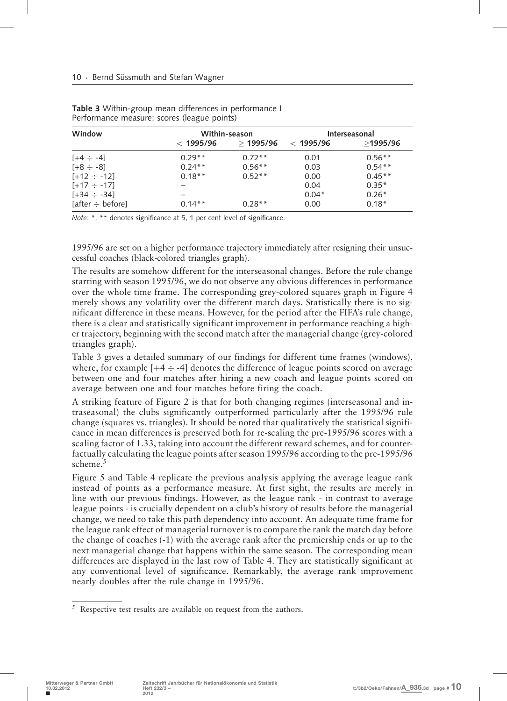| Window                |           | Within-season |           | Interseasonal |
|-----------------------|-----------|---------------|-----------|---------------|
|                       | < 1995/96 | $>$ 1995/96   | < 1995/96 | >1995/96      |
| $[+4 \div -4]$        | $0.29**$  | $0.72**$      | 0.01      | $0.56**$      |
| $[+8 \div -8]$        | $0.24**$  | $0.56**$      | 0.03      | $0.54**$      |
| $[+12 \div -12]$      | $0.18**$  | $0.52**$      | 0.00      | $0.45**$      |
| $[+17 \div -17]$      |           |               | 0.04      | $0.35*$       |
| $[+34 \div -34]$      |           |               | $0.04*$   | $0.26*$       |
| [after $\div$ before] | $0.14**$  | $0.28**$      | 0.00      | $0.18*$       |

Table 3 Within-group mean differences in performance I Performance measure: scores (league points)

Note: \*, \*\* denotes significance at 5, 1 per cent level of significance.

1995/96 are set on a higher performance trajectory immediately after resigning their unsuccessful coaches (black-colored triangles graph).

The results are somehow different for the interseasonal changes. Before the rule change starting with season 1995/96, we do not observe any obvious differences in performance over the whole time frame. The corresponding grey-colored squares graph in Figure 4 merely shows any volatility over the different match days. Statistically there is no significant difference in these means. However, for the period after the FIFA's rule change, there is a clear and statistically significant improvement in performance reaching a higher trajectory, beginning with the second match after the managerial change (grey-colored triangles graph).

Table 3 gives a detailed summary of our findings for different time frames (windows), where, for example  $[+4 \div -4]$  denotes the difference of league points scored on average between one and four matches after hiring a new coach and league points scored on average between one and four matches before firing the coach.

A striking feature of Figure 2 is that for both changing regimes (interseasonal and intraseasonal) the clubs significantly outperformed particularly after the 1995/96 rule change (squares vs. triangles). It should be noted that qualitatively the statistical significance in mean differences is preserved both for re-scaling the pre-1995/96 scores with a scaling factor of 1.33, taking into account the different reward schemes, and for counterfactually calculating the league points after season 1995/96 according to the pre-1995/96 scheme.<sup>5</sup>

Figure 5 and Table 4 replicate the previous analysis applying the average league rank instead of points as a performance measure. At first sight, the results are merely in line with our previous findings. However, as the league rank - in contrast to average league points - is crucially dependent on a club's history of results before the managerial change, we need to take this path dependency into account. An adequate time frame for the league rank effect of managerial turnover is to compare the rank the match day before the change of coaches (-1) with the average rank after the premiership ends or up to the next managerial change that happens within the same season. The corresponding mean differences are displayed in the last row of Table 4. They are statistically significant at any conventional level of significance. Remarkably, the average rank improvement nearly doubles after the rule change in 1995/96.

<sup>5</sup> Respective test results are available on request from the authors.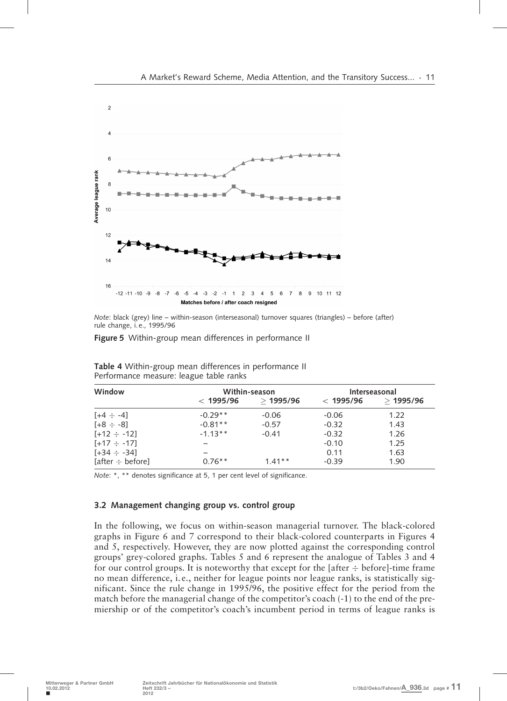

Note: black (grey) line – within-season (interseasonal) turnover squares (triangles) – before (after) rule change, i. e., 1995/96

Figure 5 Within-group mean differences in performance II

| Window                |           | Within-season |           | Interseasonal |
|-----------------------|-----------|---------------|-----------|---------------|
|                       | < 1995/96 | $>$ 1995/96   | < 1995/96 | $>$ 1995/96   |
| $[+4 \div -4]$        | $-0.29**$ | $-0.06$       | $-0.06$   | 1.22          |
| $[+8 \div -8]$        | $-0.81**$ | $-0.57$       | $-0.32$   | 1.43          |
| $[+12 \div -12]$      | $-1.13**$ | $-0.41$       | $-0.32$   | 1.26          |
| $[+17 \div -17]$      |           |               | $-0.10$   | 1.25          |
| $[-34 \div -34]$      |           |               | 0.11      | 1.63          |
| [after $\div$ before] | $0.76**$  | $1.41**$      | $-0.39$   | 1.90          |

| Table 4 Within-group mean differences in performance II |  |
|---------------------------------------------------------|--|
| Performance measure: league table ranks                 |  |

Note: \*, \*\* denotes significance at 5, 1 per cent level of significance.

#### 3.2 Management changing group vs. control group

In the following, we focus on within-season managerial turnover. The black-colored graphs in Figure 6 and 7 correspond to their black-colored counterparts in Figures 4 and 5, respectively. However, they are now plotted against the corresponding control groups' grey-colored graphs. Tables 5 and 6 represent the analogue of Tables 3 and 4 for our control groups. It is noteworthy that except for the [after  $\div$  before]-time frame no mean difference, i. e., neither for league points nor league ranks, is statistically significant. Since the rule change in 1995/96, the positive effect for the period from the match before the managerial change of the competitor's coach (-1) to the end of the premiership or of the competitor's coach's incumbent period in terms of league ranks is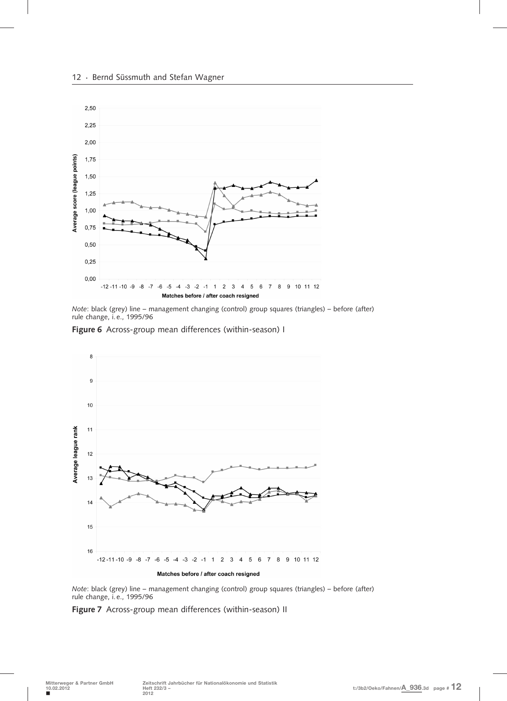

Note: black (grey) line – management changing (control) group squares (triangles) – before (after) rule change, i. e., 1995/96

Figure 6 Across-group mean differences (within-season) I



Note: black (grey) line – management changing (control) group squares (triangles) – before (after) rule change, i. e., 1995/96

Figure 7 Across-group mean differences (within-season) II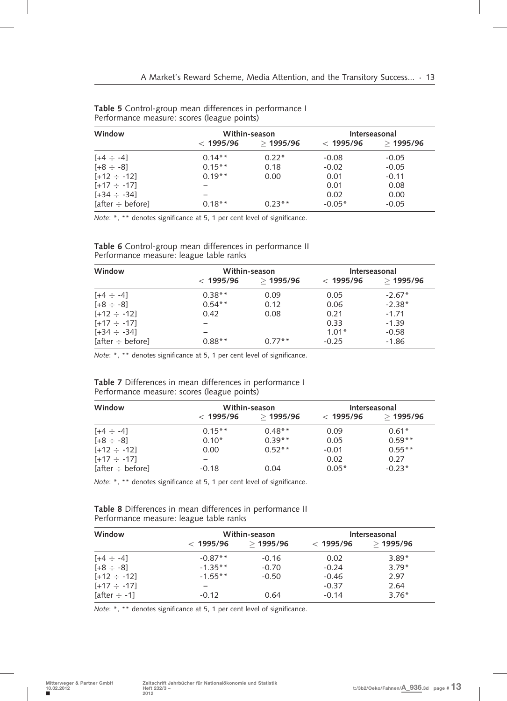| Window                |           | Within-season |           | Interseasonal |
|-----------------------|-----------|---------------|-----------|---------------|
|                       | < 1995/96 | $>$ 1995/96   | < 1995/96 | $>$ 1995/96   |
| $[+4 \div -4]$        | $0.14**$  | $0.22*$       | $-0.08$   | $-0.05$       |
| $[+8 \div -8]$        | $0.15**$  | 0.18          | $-0.02$   | $-0.05$       |
| $[+12 \div -12]$      | $0.19**$  | 0.00          | 0.01      | $-0.11$       |
| $[+17 \div -17]$      |           |               | 0.01      | 0.08          |
| $[+34 \div -34]$      |           |               | 0.02      | 0.00          |
| [after $\div$ before] | $0.18**$  | $0.23**$      | $-0.05*$  | $-0.05$       |

Table 5 Control-group mean differences in performance I Performance measure: scores (league points)

Note: \*, \*\* denotes significance at 5, 1 per cent level of significance.

|                                         | Table 6 Control-group mean differences in performance II |
|-----------------------------------------|----------------------------------------------------------|
| Performance measure: league table ranks |                                                          |

| Window                |           | Within-season |           | Interseasonal |
|-----------------------|-----------|---------------|-----------|---------------|
|                       | < 1995/96 | $>$ 1995/96   | < 1995/96 | $>$ 1995/96   |
| $[+4 \div -4]$        | $0.38**$  | 0.09          | 0.05      | $-2.67*$      |
| $[+8 \div -8]$        | $0.54**$  | 0.12          | 0.06      | $-2.38*$      |
| $[+12 \div -12]$      | 0.42      | 0.08          | 0.21      | $-1.71$       |
| $[+17 \div -17]$      |           |               | 0.33      | $-1.39$       |
| $[+34 \div -34]$      |           |               | $1.01*$   | $-0.58$       |
| [after $\div$ before] | $0.88**$  | $0.77**$      | $-0.25$   | $-1.86$       |

Note: \*, \*\* denotes significance at 5, 1 per cent level of significance.

| <b>Table 7</b> Differences in mean differences in performance I |  |  |
|-----------------------------------------------------------------|--|--|
| Performance measure: scores (league points)                     |  |  |

| Window                |           | Within-season |           | Interseasonal |
|-----------------------|-----------|---------------|-----------|---------------|
|                       | < 1995/96 | $>$ 1995/96   | < 1995/96 | $>$ 1995/96   |
| $[+4 \div -4]$        | $0.15**$  | $0.48**$      | 0.09      | $0.61*$       |
| $[+8 \div -8]$        | $0.10*$   | $0.39**$      | 0.05      | $0.59**$      |
| $[+12 \div -12]$      | 0.00      | $0.52**$      | $-0.01$   | $0.55**$      |
| $[+17 \div -17]$      |           |               | 0.02      | 0.27          |
| [after $\div$ before] | $-0.18$   | 0.04          | $0.05*$   | $-0.23*$      |

Note: \*, \*\* denotes significance at 5, 1 per cent level of significance.

#### Table 8 Differences in mean differences in performance II Performance measure: league table ranks

| Window            |           | Within-season |           | Interseasonal |
|-------------------|-----------|---------------|-----------|---------------|
|                   | < 1995/96 | $>$ 1995/96   | < 1995/96 | $>$ 1995/96   |
| $[+4 \div -4]$    | $-0.87**$ | $-0.16$       | 0.02      | $3.89*$       |
| $[+8 \div -8]$    | $-1.35**$ | $-0.70$       | $-0.24$   | $3.79*$       |
| $[+12 \div -12]$  | $-1.55**$ | $-0.50$       | $-0.46$   | 2.97          |
| $[+17 \div -17]$  |           |               | $-0.37$   | 2.64          |
| $fafter \div -11$ | $-0.12$   | 0.64          | $-0.14$   | $3.76*$       |

Note: \*, \*\* denotes significance at 5, 1 per cent level of significance.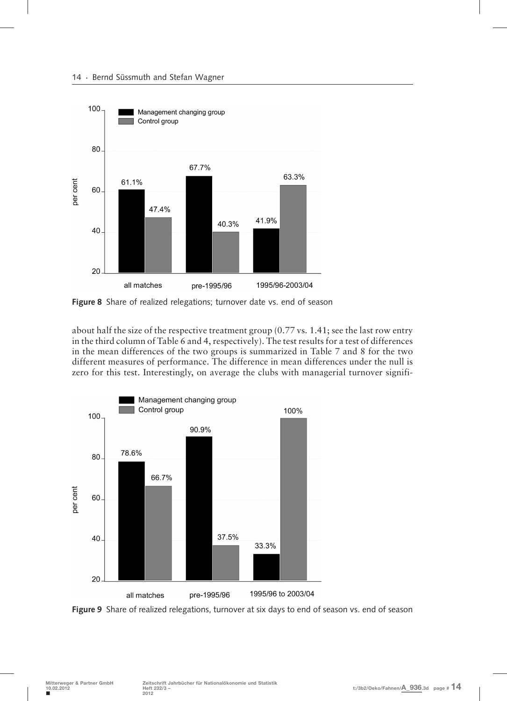

Figure 8 Share of realized relegations; turnover date vs. end of season

about half the size of the respective treatment group (0.77 vs. 1.41; see the last row entry in the third column of Table 6 and 4, respectively). The test results for a test of differences in the mean differences of the two groups is summarized in Table 7 and 8 for the two different measures of performance. The difference in mean differences under the null is zero for this test. Interestingly, on average the clubs with managerial turnover signifi-



Figure 9 Share of realized relegations, turnover at six days to end of season vs. end of season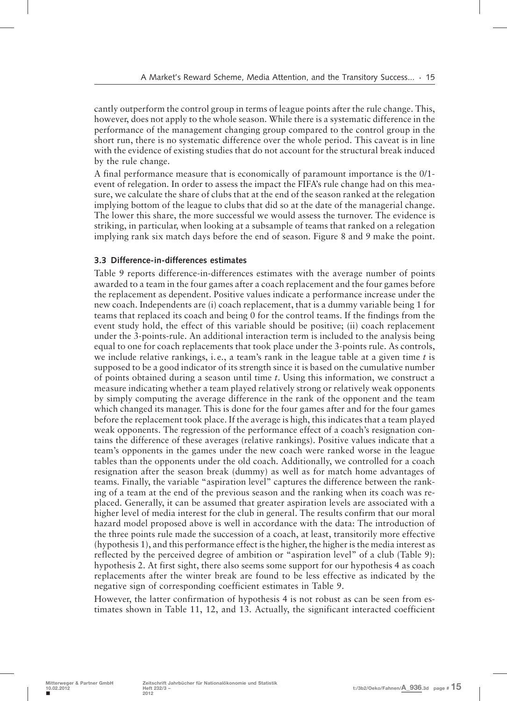cantly outperform the control group in terms of league points after the rule change. This, however, does not apply to the whole season. While there is a systematic difference in the performance of the management changing group compared to the control group in the short run, there is no systematic difference over the whole period. This caveat is in line with the evidence of existing studies that do not account for the structural break induced by the rule change.

A final performance measure that is economically of paramount importance is the 0/1 event of relegation. In order to assess the impact the FIFA's rule change had on this measure, we calculate the share of clubs that at the end of the season ranked at the relegation implying bottom of the league to clubs that did so at the date of the managerial change. The lower this share, the more successful we would assess the turnover. The evidence is striking, in particular, when looking at a subsample of teams that ranked on a relegation implying rank six match days before the end of season. Figure 8 and 9 make the point.

### 3.3 Difference-in-differences estimates

Table 9 reports difference-in-differences estimates with the average number of points awarded to a team in the four games after a coach replacement and the four games before the replacement as dependent. Positive values indicate a performance increase under the new coach. Independents are (i) coach replacement, that is a dummy variable being 1 for teams that replaced its coach and being 0 for the control teams. If the findings from the event study hold, the effect of this variable should be positive; (ii) coach replacement under the 3-points-rule. An additional interaction term is included to the analysis being equal to one for coach replacements that took place under the 3-points rule. As controls, we include relative rankings, i.e., a team's rank in the league table at a given time t is supposed to be a good indicator of its strength since it is based on the cumulative number of points obtained during a season until time  $t$ . Using this information, we construct a measure indicating whether a team played relatively strong or relatively weak opponents by simply computing the average difference in the rank of the opponent and the team which changed its manager. This is done for the four games after and for the four games before the replacement took place. If the average is high, this indicates that a team played weak opponents. The regression of the performance effect of a coach's resignation contains the difference of these averages (relative rankings). Positive values indicate that a team's opponents in the games under the new coach were ranked worse in the league tables than the opponents under the old coach. Additionally, we controlled for a coach resignation after the season break (dummy) as well as for match home advantages of teams. Finally, the variable "aspiration level" captures the difference between the ranking of a team at the end of the previous season and the ranking when its coach was replaced. Generally, it can be assumed that greater aspiration levels are associated with a higher level of media interest for the club in general. The results confirm that our moral hazard model proposed above is well in accordance with the data: The introduction of the three points rule made the succession of a coach, at least, transitorily more effective (hypothesis 1), and this performance effect isthe higher, the higher is the media interest as reflected by the perceived degree of ambition or "aspiration level" of a club (Table 9): hypothesis 2. At first sight, there also seems some support for our hypothesis 4 as coach replacements after the winter break are found to be less effective as indicated by the negative sign of corresponding coefficient estimates in Table 9.

However, the latter confirmation of hypothesis 4 is not robust as can be seen from estimates shown in Table 11, 12, and 13. Actually, the significant interacted coefficient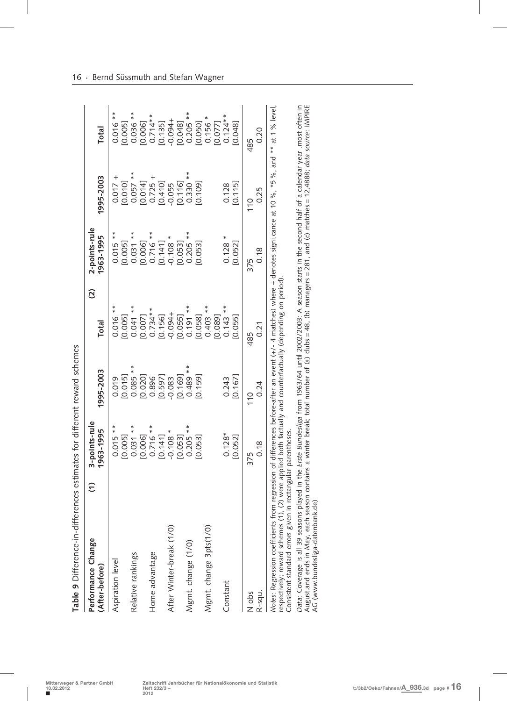| Table 9 Difference-in-differences estimates for different reward schemes                                                                                                                                                                                                        |                      |                                                                     |                        |                                   |                                                                                                      |                                                     |                                                                       |
|---------------------------------------------------------------------------------------------------------------------------------------------------------------------------------------------------------------------------------------------------------------------------------|----------------------|---------------------------------------------------------------------|------------------------|-----------------------------------|------------------------------------------------------------------------------------------------------|-----------------------------------------------------|-----------------------------------------------------------------------|
| Performance Change<br>(After-before)                                                                                                                                                                                                                                            | $\widehat{\epsilon}$ | 3-points-rule<br>1963-1995                                          | 1995-2003              | $\widehat{\Omega}$<br>Total       | 2-points-rule<br>1963-1995                                                                           | 1995-2003                                           | <b>Total</b>                                                          |
| Aspiration level                                                                                                                                                                                                                                                                |                      | $0.015**$                                                           | 0.019                  | $0.016**$                         | $0.015**$                                                                                            | $0.017 +$                                           | $0.016**$                                                             |
|                                                                                                                                                                                                                                                                                 |                      | [0.005]                                                             | $[0.015]$<br>$0.085**$ | $[0.005]$<br>$0.041**$            |                                                                                                      |                                                     | 0.005                                                                 |
| Relative rankings                                                                                                                                                                                                                                                               |                      |                                                                     |                        |                                   |                                                                                                      |                                                     | $0.036**$                                                             |
|                                                                                                                                                                                                                                                                                 |                      | $\begin{array}{c} 0.031** \\ \text{[0.006]} \\ 0.716** \end{array}$ | 0.020]                 | $[0.007]$<br>0.734**              |                                                                                                      |                                                     | $[0.006]$<br>0.714**                                                  |
| Home advantage                                                                                                                                                                                                                                                                  |                      |                                                                     |                        |                                   |                                                                                                      |                                                     |                                                                       |
|                                                                                                                                                                                                                                                                                 |                      | $[0.141]$<br>$-0.108$ *                                             | [0.597]                | [0.156]                           | $\begin{array}{l} [0.005] \\ 0.031 \\ 0.006] \\ [0.006] \\ 0.716 \\ [0.141] \\ -0.108 \end{array} ,$ | 0.010]<br>0.057 **<br>0.014]<br>0.0725 +<br>0.055 - | [0.135]                                                               |
| After Winter-break                                                                                                                                                                                                                                                              |                      |                                                                     | $-0.083$               |                                   |                                                                                                      |                                                     |                                                                       |
|                                                                                                                                                                                                                                                                                 |                      | $[0.053]$<br>0.205 **                                               | [0.169]                | $-0.094 +$<br>[0.055]<br>0.191 ** | [0.053]                                                                                              | $\begin{bmatrix} 0.116 \\ 0.330 \end{bmatrix}$ **   |                                                                       |
| Mgmt. change (1/0)                                                                                                                                                                                                                                                              |                      |                                                                     | $0.489**$              |                                   | $0.205**$                                                                                            |                                                     |                                                                       |
|                                                                                                                                                                                                                                                                                 |                      | [0.053]                                                             | [651, 0]               | [0.058]                           | [0.053]                                                                                              | [0.109]                                             | $\begin{bmatrix} 0.048 \\ 0.205 \\ 0.0501 \\ 0.156 \end{bmatrix}^{*}$ |
| (0/1)<br>Mgmt. change 3pts(                                                                                                                                                                                                                                                     |                      |                                                                     |                        | $0.403**$                         |                                                                                                      |                                                     |                                                                       |
|                                                                                                                                                                                                                                                                                 |                      |                                                                     |                        | [680.0                            |                                                                                                      |                                                     | [0.077]                                                               |
| Constant                                                                                                                                                                                                                                                                        |                      | $0.128*$                                                            | 0.243                  | $0.143**$                         | $0.128 *$                                                                                            | 0.128                                               | $0.124**$                                                             |
|                                                                                                                                                                                                                                                                                 |                      | [0.052]                                                             | [0.167]                | [0.055]                           | [0.052]                                                                                              | [0.115]                                             | 0.048                                                                 |
| N obs                                                                                                                                                                                                                                                                           |                      | 375                                                                 | 110                    | 485                               | 375                                                                                                  | 110                                                 | 485                                                                   |
| R-squ.                                                                                                                                                                                                                                                                          |                      | 0.18                                                                | 0.24                   | 0.21                              | 0.18                                                                                                 | 0.25                                                | 0.20                                                                  |
| Notes: Regression coefficients from regression of differences before-after an event (+/- 4 matches) where + denotes signicance at 10 %, *5%, and ** at 1% level<br>respectively; reward schemes (1), (2) were applied both factually and counterfactually (depending on period) |                      |                                                                     |                        |                                   |                                                                                                      |                                                     |                                                                       |

Consistent standard errors given in rectangular parentheses. Consistent standard errors given in rectangular parentheses.

Data: Coverage is all 39 seasons played in the *Erste Bundesliga f*rom 1963/64 until 2002/2003: A season starts in the second half of a calendar year .most often in<br>August.and ends in May, each season contains a winter bre Data: Coverage is all 39 seasons played in the Erste Bundesliga from 1963/64 until 2002/2003: A season starts in the second half of a calendar year .most often in August.and ends in May, each season contains a winter break; total number of (a) clubs = 48, (b) managers = 281, and (c) matches = 12,4888; data source: IMPIRE AG (www.bundesliga-datenbank.de)

# 16 · Bernd Süssmuth and Stefan Wagner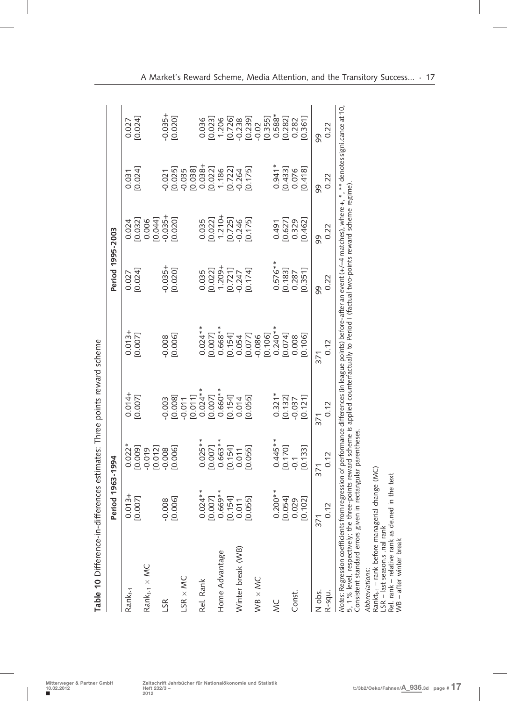|                                                                                                                                                                                                                                                                                                                                                                                           | Period 1963-1994               |                                      |                                       |                                                             | Period 1995-2003                             |                                                  |                            |                                                                           |
|-------------------------------------------------------------------------------------------------------------------------------------------------------------------------------------------------------------------------------------------------------------------------------------------------------------------------------------------------------------------------------------------|--------------------------------|--------------------------------------|---------------------------------------|-------------------------------------------------------------|----------------------------------------------|--------------------------------------------------|----------------------------|---------------------------------------------------------------------------|
| $\mathsf{Rank}_{t\text{-}1}$                                                                                                                                                                                                                                                                                                                                                              | $0.013 +$<br>[0.007]           | $0.022*$                             | $0.014 +$<br>[0.007]                  | $0.013 +$<br>[0.007]                                        | 0.027<br>0.024]                              | 0.024                                            | $0.024$ ]<br>0.031         | 0.027<br>0.024]                                                           |
| $\mathsf{Rank}_{t\text{-}1} \times \mathsf{MC}$                                                                                                                                                                                                                                                                                                                                           |                                | 0091<br>009121<br>0000000<br>000000  |                                       |                                                             |                                              | 0.0321<br>0.0041<br>0.0035+<br>0.0000            |                            |                                                                           |
| LSR                                                                                                                                                                                                                                                                                                                                                                                       | 0.008                          |                                      |                                       |                                                             |                                              |                                                  |                            | $-0.035+$                                                                 |
|                                                                                                                                                                                                                                                                                                                                                                                           | [0.006]                        |                                      |                                       | 0.006                                                       | $0.035 +$                                    |                                                  |                            | [0.020]                                                                   |
| $LSR \times MC$                                                                                                                                                                                                                                                                                                                                                                           |                                |                                      | - 0.003<br>0.008]<br>0.011]<br>0.024* |                                                             |                                              |                                                  |                            |                                                                           |
| Rel. Rank                                                                                                                                                                                                                                                                                                                                                                                 | $0.024**$                      | $0.025**$                            |                                       | $0.024**$                                                   | 0.035                                        | 0.035                                            |                            | 0.036                                                                     |
|                                                                                                                                                                                                                                                                                                                                                                                           | [0.007]                        |                                      |                                       | [0.007]                                                     | 0.022]<br>1.209+<br>1.2071<br>1.247<br>1.741 | 0.022]<br>1.210+<br>1.0.246<br>0.0.0.0.0.0.0.0.0 |                            | 0.0231<br>0.2006<br>0.2007 385<br>0.2007 3862<br>0.2007 382<br>0.2007 382 |
| Home Advantage                                                                                                                                                                                                                                                                                                                                                                            | $0.669**$                      |                                      |                                       | $0.668**$                                                   |                                              |                                                  |                            |                                                                           |
|                                                                                                                                                                                                                                                                                                                                                                                           | [0.154]                        | 0.007]<br>0.663**<br>0.011<br>0.055] | 0.0071<br>0.660*<br>0.014<br>0.01551  | 0.1541<br>0.054<br>0.0771<br>0.086                          |                                              |                                                  |                            |                                                                           |
| Winter break (WB)                                                                                                                                                                                                                                                                                                                                                                         | 0.011                          |                                      |                                       |                                                             |                                              |                                                  |                            |                                                                           |
|                                                                                                                                                                                                                                                                                                                                                                                           | [0.055]                        |                                      |                                       |                                                             |                                              |                                                  |                            |                                                                           |
| $W$ B $\times$ MC                                                                                                                                                                                                                                                                                                                                                                         |                                |                                      |                                       |                                                             |                                              |                                                  |                            |                                                                           |
|                                                                                                                                                                                                                                                                                                                                                                                           |                                |                                      |                                       |                                                             |                                              |                                                  |                            |                                                                           |
| š                                                                                                                                                                                                                                                                                                                                                                                         |                                |                                      | $0.321*$                              |                                                             | $0.576*$                                     |                                                  |                            |                                                                           |
|                                                                                                                                                                                                                                                                                                                                                                                           | $0.200**$<br>[0.054]<br>[0.029 | $0.445**$<br>[0.170]<br>-0.1         | [0.132]                               | $\begin{bmatrix} 0.106 \\ 0.240^{*} \\ 0.074 \end{bmatrix}$ | $[0.183]$<br>$0.287$                         | 0.491<br>[0.627]<br>[0.329<br>[0.462]            | 0.941*<br>[0.433]<br>0.076 |                                                                           |
| Const.                                                                                                                                                                                                                                                                                                                                                                                    |                                |                                      |                                       | 0.008                                                       |                                              |                                                  |                            |                                                                           |
|                                                                                                                                                                                                                                                                                                                                                                                           | [0.102]                        | [0.133]                              | [0.121]                               | 0.106                                                       | [0.351]                                      |                                                  | [0.418]                    | [0.361]                                                                   |
| N obs.                                                                                                                                                                                                                                                                                                                                                                                    | 371                            | 371                                  | 371                                   | 371                                                         | <u>ရွ</u>                                    | 99                                               | 99                         | 99                                                                        |
| R-squ.                                                                                                                                                                                                                                                                                                                                                                                    | 0.12                           | 0.12                                 | 0.12                                  | 0.12                                                        | 0.22                                         | 0.22                                             | 0.22                       | 0.22                                                                      |
| Notes: Regression coefficients from regression of performance differences (in league points) before-after an event (+/-4 matches), where +, *, ** denotes signicance at 10<br>5, 1 % level, respectively; the three-points reward scheme is applied counterfactually to Period I (factual two-points reward scheme regime)<br>Consistent standard errors given in rectangular parentheses |                                |                                      |                                       |                                                             |                                              |                                                  |                            |                                                                           |

A Market's Reward Scheme, Media Attention, and the Transitory Success... . 17

Table 10 Difference-in-differences estimates: Three points reward scheme Table 10 Difference-in-differences estimates: Three points reward scheme

Abbreviations:

Ranktt-1 – rank before managerial change (MC)

LSR – last season.s .nal rank

Rel. rank – relative rank as de.ned in the text

Abbreviations:<br>Rankt<sub>+1</sub> – rank before managerial change (MC)<br>LSR – last season.s .nal rank<br>Rel. rank – relative rank as de.ned in the text<br>WB – atter winter break

WB – after winter break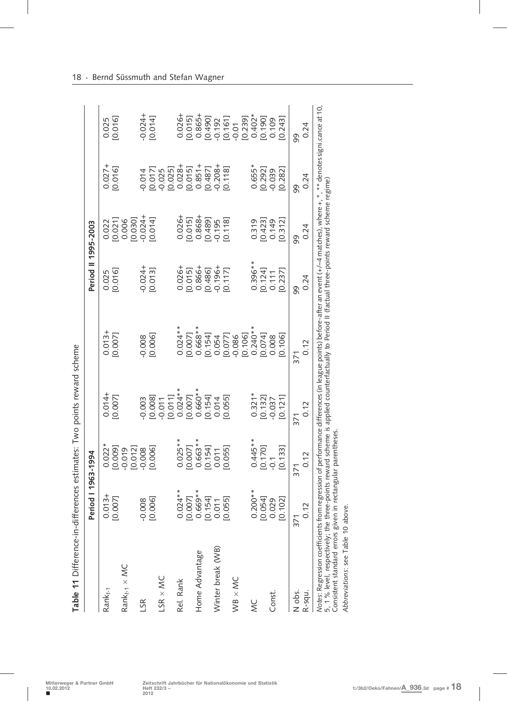| Table 11 Difference-in-differences estimates: Two points reward scheme                                                                                                                                     |                      |                      |                                                |                                                                                                                     |                        |                                                                                       |                        |                                                |
|------------------------------------------------------------------------------------------------------------------------------------------------------------------------------------------------------------|----------------------|----------------------|------------------------------------------------|---------------------------------------------------------------------------------------------------------------------|------------------------|---------------------------------------------------------------------------------------|------------------------|------------------------------------------------|
|                                                                                                                                                                                                            | Period   1963-1994   |                      |                                                |                                                                                                                     | Period II 1995-2003    |                                                                                       |                        |                                                |
| $Rank_{t-1}$                                                                                                                                                                                               | $0.013 +$<br>[0.007] | $0.022*$<br>[0.009]  | $0.014 +$<br>[0.007]                           | $0.013 +$<br>[0.007]                                                                                                | [0.016]<br>0.025       |                                                                                       | $0.027 +$<br>[910.0]   | [0.016]<br>0.025                               |
| $Rank_{t-1} \times MC$                                                                                                                                                                                     |                      | $-0.019$             |                                                |                                                                                                                     |                        | $\begin{array}{c} 0.022 \\ 0.021 \\ 0.030 \\ 0.0301 \\ 0.0301 \\ 0.024 + \end{array}$ |                        |                                                |
| LSR                                                                                                                                                                                                        | 0.008                | [0.012]<br>-0.008    | 0.003                                          | 0.008                                                                                                               | $0.024 +$              |                                                                                       | 0.014                  | $0.024 +$                                      |
|                                                                                                                                                                                                            | [0.006]              | [0.006]              |                                                | [0.006]                                                                                                             | [0.013]                | [0.014]                                                                               | [0.017]                | [0.014]                                        |
| $LSR \times MC$                                                                                                                                                                                            |                      |                      | 0.008]<br>0.011<br>0.014**<br>0.0007<br>0.060* |                                                                                                                     |                        |                                                                                       | $-0.025$               |                                                |
| Rel. Rank                                                                                                                                                                                                  | $0.024**$            | $0.025**$            |                                                | $0.024**$                                                                                                           | $0.026 +$              |                                                                                       | $[0.025]$<br>$0.028 +$ | $0.026 +$                                      |
|                                                                                                                                                                                                            | [0.007]              | [0.007]              |                                                | $[0.007]$<br>$0.668**$                                                                                              | $[0.015]$<br>$0.866 +$ | 0.026+<br>[0.015]<br>0.868+                                                           | [0.015]                | $[0.015]$<br>$0.865+$                          |
| Home Advantage                                                                                                                                                                                             | $0.669*$             | $0.663**$            |                                                |                                                                                                                     |                        |                                                                                       | $0.851 +$              |                                                |
|                                                                                                                                                                                                            | [0.154]              | [0.154]              | [0.154]                                        | [0.154]                                                                                                             | [0.486]                | [0.489]                                                                               | [0.487]                | [0.490]                                        |
| Winter break (WB)                                                                                                                                                                                          | 0.011                | $0.011$<br>$[0.055]$ | $0.014$<br>[0.055]                             |                                                                                                                     | $-0.196 +$             | $-0.195$<br>[0.118]                                                                   | $-0.208 +$             |                                                |
|                                                                                                                                                                                                            | [0.055]              |                      |                                                |                                                                                                                     | [0.117]                |                                                                                       | [811.0]                |                                                |
| $WB \times MC$                                                                                                                                                                                             |                      |                      |                                                | $0.054$<br>$[0.077]$<br>$-0.086$                                                                                    |                        |                                                                                       |                        | 0.192<br>0.161<br>0.010390<br>0.0403<br>0.1900 |
|                                                                                                                                                                                                            |                      |                      |                                                | $[0.106]$<br>$0.240**$                                                                                              |                        |                                                                                       |                        |                                                |
| š                                                                                                                                                                                                          | $0.200**$            | $0.445**$            | $0.321*$                                       |                                                                                                                     | $0.396**$              |                                                                                       | $0.655*$               |                                                |
|                                                                                                                                                                                                            | [0.054]              | [0.170]              | [0.132]                                        | [0.074]                                                                                                             | [0.124]                | 0.319<br>[0.423]<br>0.149                                                             | [0.292]                |                                                |
| Const.                                                                                                                                                                                                     | 0.029                | $\overline{O}$ .     |                                                | 0.008                                                                                                               | $0.111$<br>$[0.237]$   |                                                                                       | $-0.039$               | 0.109                                          |
|                                                                                                                                                                                                            | [0.102]              | [0.133]              | [0.121]                                        | [0.106]                                                                                                             |                        | [0.312]                                                                               | [0.282]                | [0.243]                                        |
| N obs.                                                                                                                                                                                                     | 371                  | 371                  | 371                                            | 371                                                                                                                 | 99                     | 99                                                                                    | 99                     | 99                                             |
| R-squ.                                                                                                                                                                                                     | 0.12                 | 0.12                 | 0.12                                           | 0.12                                                                                                                | 0.24                   | 0.24                                                                                  | 0.24                   | 0.24                                           |
| Notes: Regression coefficients from regression of performance differences (in league points) before-after an event (+/-4 matches), where +, *, *, * denotes signi.cance at 10<br>5.1% level. respectively: |                      |                      |                                                | the three-points reward scheme is applied counterfactually to Period II (factual three-points reward scheme regime) |                        |                                                                                       |                        |                                                |

5, 1 % level, respectively; the three-points reward scheme is applied counterfactually to Period II (factual three-points reward scheme regime) ō ⊻ 롤 5, 1 % level, respectively; the three-points reward scheme is<br>Consistent standard errors given in rectangular parentheses.<br>A*bbreviations*: see Table 10 above. Consistent standard errors given in rectangular parentheses.

Abbreviations: see Table 10 above.

# 18 · Bernd Süssmuth and Stefan Wagner

Mitterweger & Partner GmbH<br>10.02.2012<br>■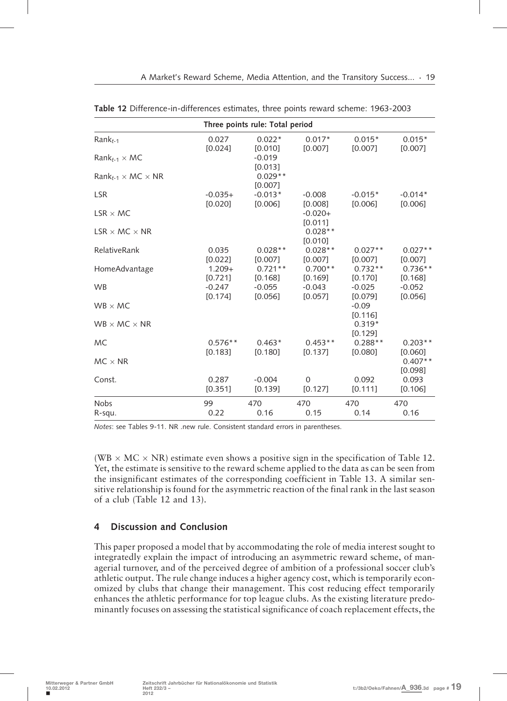|                                             |                      | Three points rule: Total period |                      |                      |                      |
|---------------------------------------------|----------------------|---------------------------------|----------------------|----------------------|----------------------|
| Rank $t-1$                                  | 0.027<br>[0.024]     | $0.022*$<br>[0.010]             | $0.017*$<br>[0.007]  | $0.015*$<br>[0.007]  | $0.015*$<br>[0.007]  |
| Rank <sub>t-1</sub> $\times$ MC             |                      | $-0.019$<br>[0.013]             |                      |                      |                      |
| Rank <sub>t-1</sub> $\times$ MC $\times$ NR |                      | $0.029**$<br>[0.007]            |                      |                      |                      |
| LSR                                         | $-0.035+$<br>[0.020] | $-0.013*$<br>[0.006]            | $-0.008$<br>[0.008]  | $-0.015*$<br>[0.006] | $-0.014*$<br>[0.006] |
| $LSR \times MC$                             |                      |                                 | $-0.020+$<br>[0.011] |                      |                      |
| $LSR \times MC \times NR$                   |                      |                                 | $0.028**$<br>[0.010] |                      |                      |
| RelativeRank                                | 0.035<br>[0.022]     | $0.028**$<br>[0.007]            | $0.028**$<br>[0.007] | $0.027**$<br>[0.007] | $0.027**$<br>[0.007] |
| HomeAdvantage                               | $1.209 +$<br>[0.721] | $0.721**$<br>[0.168]            | $0.700**$<br>[0.169] | $0.732**$<br>[0.170] | $0.736**$<br>[0.168] |
| <b>WB</b>                                   | $-0.247$<br>[0.174]  | $-0.055$<br>[0.056]             | $-0.043$<br>[0.057]  | $-0.025$<br>[0.079]  | $-0.052$<br>[0.056]  |
| $WB \times MC$                              |                      |                                 |                      | $-0.09$<br>[0.116]   |                      |
| $WB \times MC \times NR$                    |                      |                                 |                      | $0.319*$<br>[0.129]  |                      |
| <b>MC</b>                                   | $0.576**$<br>[0.183] | $0.463*$<br>[0.180]             | $0.453**$<br>[0.137] | $0.288**$<br>[0.080] | $0.203**$<br>[0.060] |
| $MC \times NR$                              |                      |                                 |                      |                      | $0.407**$<br>[0.098] |
| Const.                                      | 0.287<br>[0.351]     | $-0.004$<br>[0.139]             | $\Omega$<br>[0.127]  | 0.092<br>[0.111]     | 0.093<br>[0.106]     |
| <b>Nobs</b>                                 | 99                   | 470                             | 470                  | 470                  | 470                  |
| R-squ.                                      | 0.22                 | 0.16                            | 0.15                 | 0.14                 | 0.16                 |

Table 12 Difference-in-differences estimates, three points reward scheme: 1963-2003

Notes: see Tables 9-11. NR .new rule. Consistent standard errors in parentheses.

(WB  $\times$  MC  $\times$  NR) estimate even shows a positive sign in the specification of Table 12. Yet, the estimate is sensitive to the reward scheme applied to the data as can be seen from the insignificant estimates of the corresponding coefficient in Table 13. A similar sensitive relationship is found for the asymmetric reaction of the final rank in the last season of a club (Table 12 and 13).

## 4 Discussion and Conclusion

This paper proposed a model that by accommodating the role of media interest sought to integratedly explain the impact of introducing an asymmetric reward scheme, of managerial turnover, and of the perceived degree of ambition of a professional soccer club's athletic output. The rule change induces a higher agency cost, which is temporarily economized by clubs that change their management. This cost reducing effect temporarily enhances the athletic performance for top league clubs. As the existing literature predominantly focuses on assessing the statistical significance of coach replacement effects, the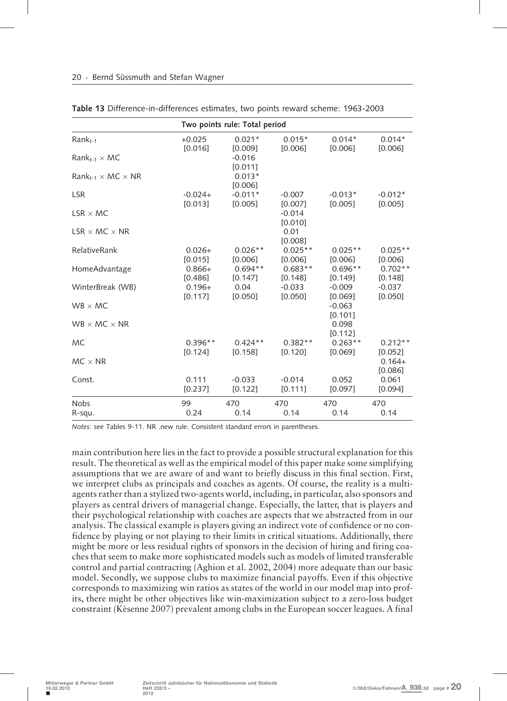#### $20$   $\cdot$  Bernd Süssmuth and Stefan Wagner

|                                             |                      | Two points rule: Total period  |                      |                      |                      |
|---------------------------------------------|----------------------|--------------------------------|----------------------|----------------------|----------------------|
| $Rank_{t-1}$                                | $+0.025$             | $0.021*$                       | $0.015*$             | $0.014*$             | $0.014*$             |
| Rank <sub>t-1</sub> $\times$ MC             | [0.016]              | [0.009]<br>$-0.016$<br>[0.011] | [0.006]              | [0.006]              | [0.006]              |
| Rank <sub>t-1</sub> $\times$ MC $\times$ NR |                      | $0.013*$<br>[0.006]            |                      |                      |                      |
| <b>LSR</b>                                  | $-0.024+$<br>[0.013] | $-0.011*$<br>[0.005]           | $-0.007$<br>[0.007]  | $-0.013*$<br>[0.005] | $-0.012*$<br>[0.005] |
| $LSR \times MC$                             |                      |                                | $-0.014$<br>[0.010]  |                      |                      |
| $LSR \times MC \times NR$                   |                      |                                | 0.01<br>[0.008]      |                      |                      |
| RelativeRank                                | $0.026+$<br>[0.015]  | $0.026**$<br>[0.006]           | $0.025**$<br>[0.006] | $0.025**$<br>[0.006] | $0.025**$<br>[0.006] |
| HomeAdvantage                               | $0.866+$<br>[0.486]  | $0.694**$<br>[0.147]           | $0.683**$<br>[0.148] | $0.696**$<br>[0.149] | $0.702**$<br>[0.148] |
| WinterBreak (WB)                            | $0.196+$<br>[0.117]  | 0.04<br>[0.050]                | $-0.033$<br>[0.050]  | $-0.009$<br>[0.069]  | $-0.037$<br>[0.050]  |
| $WB \times MC$                              |                      |                                |                      | $-0.063$<br>[0.101]  |                      |
| $WB \times MC \times NR$                    |                      |                                |                      | 0.098<br>[0.112]     |                      |
| <b>MC</b>                                   | $0.396**$<br>[0.124] | $0.424**$<br>[0.158]           | $0.382**$<br>[0.120] | $0.263**$<br>[0.069] | $0.212**$<br>[0.052] |
| $MC \times NR$                              |                      |                                |                      |                      | $0.164+$<br>[0.086]  |
| Const.                                      | 0.111<br>[0.237]     | $-0.033$<br>[0.122]            | $-0.014$<br>[0.111]  | 0.052<br>[0.097]     | 0.061<br>[0.094]     |
| <b>Nobs</b><br>R-squ.                       | 99<br>0.24           | 470<br>0.14                    | 470<br>0.14          | 470<br>0.14          | 470<br>0.14          |

Table 13 Difference-in-differences estimates, two points reward scheme: 1963-2003

Notes: see Tables 9-11. NR .new rule. Consistent standard errors in parentheses.

main contribution here lies in the fact to provide a possible structural explanation for this result. The theoretical as well as the empirical model of this paper make some simplifying assumptions that we are aware of and want to briefly discuss in this final section. First, we interpret clubs as principals and coaches as agents. Of course, the reality is a multiagents rather than a stylized two-agents world, including, in particular, also sponsors and players as central drivers of managerial change. Especially, the latter, that is players and their psychological relationship with coaches are aspects that we abstracted from in our analysis. The classical example is players giving an indirect vote of confidence or no confidence by playing or not playing to their limits in critical situations. Additionally, there might be more or less residual rights of sponsors in the decision of hiring and firing coaches that seem to make more sophisticated models such as models of limited transferable control and partial contracting (Aghion et al. 2002, 2004) more adequate than our basic model. Secondly, we suppose clubs to maximize financial payoffs. Even if this objective corresponds to maximizing win ratios as states of the world in our model map into profits, there might be other objectives like win-maximization subject to a zero-loss budget constraint (Késenne 2007) prevalent among clubs in the European soccer leagues. A final